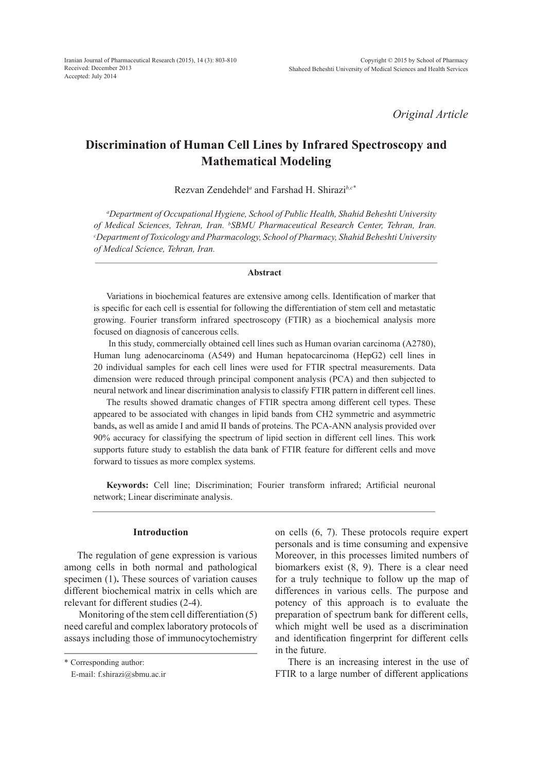*Original Article*

# **Discrimination of Human Cell Lines by Infrared Spectroscopy and Mathematical Modeling**

Rezvan Zendehdel*<sup>a</sup>* and Farshad H. Shirazi*b,c\**

*a Department of Occupational Hygiene, School of Public Health, Shahid Beheshti University of Medical Sciences, Tehran, Iran. b SBMU Pharmaceutical Research Center, Tehran, Iran. c Department of Toxicology and Pharmacology, School of Pharmacy, Shahid Beheshti University of Medical Science, Tehran, Iran.* 

#### **Abstract**

Variations in biochemical features are extensive among cells. Identification of marker that is specific for each cell is essential for following the differentiation of stem cell and metastatic growing. Fourier transform infrared spectroscopy (FTIR) as a biochemical analysis more focused on diagnosis of cancerous cells.

 In this study, commercially obtained cell lines such as Human ovarian carcinoma (A2780), Human lung adenocarcinoma (A549) and Human hepatocarcinoma (HepG2) cell lines in 20 individual samples for each cell lines were used for FTIR spectral measurements. Data dimension were reduced through principal component analysis (PCA) and then subjected to neural network and linear discrimination analysis to classify FTIR pattern in different cell lines.

The results showed dramatic changes of FTIR spectra among different cell types. These appeared to be associated with changes in lipid bands from CH2 symmetric and asymmetric bands**,** as well as amide I and amid II bands of proteins. The PCA-ANN analysis provided over 90% accuracy for classifying the spectrum of lipid section in different cell lines. This work supports future study to establish the data bank of FTIR feature for different cells and move forward to tissues as more complex systems.

**Keywords:** Cell line; Discrimination; Fourier transform infrared; Artificial neuronal network; Linear discriminate analysis.

#### **Introduction**

The regulation of gene expression is various among cells in both normal and pathological specimen (1)**.** These sources of variation causes different biochemical matrix in cells which are relevant for different studies (2-4).

 Monitoring of the stem cell differentiation (5) need careful and complex laboratory protocols of assays including those of immunocytochemistry on cells (6, 7). These protocols require expert personals and is time consuming and expensive Moreover, in this processes limited numbers of biomarkers exist (8, 9). There is a clear need for a truly technique to follow up the map of differences in various cells. The purpose and potency of this approach is to evaluate the preparation of spectrum bank for different cells, which might well be used as a discrimination and identification fingerprint for different cells in the future.

There is an increasing interest in the use of FTIR to a large number of different applications

<sup>\*</sup> Corresponding author:

E-mail: f.shirazi@sbmu.ac.ir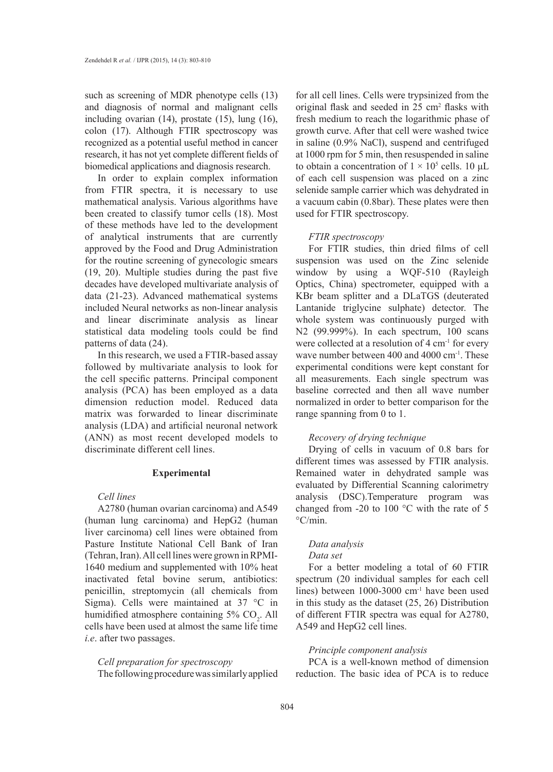such as screening of MDR phenotype cells (13) and diagnosis of normal and malignant cells including ovarian (14), prostate (15), lung (16), colon (17). Although FTIR spectroscopy was recognized as a potential useful method in cancer research, it has not yet complete different fields of biomedical applications and diagnosis research.

In order to explain complex information from FTIR spectra, it is necessary to use mathematical analysis. Various algorithms have been created to classify tumor cells (18). Most of these methods have led to the development of analytical instruments that are currently approved by the Food and Drug Administration for the routine screening of gynecologic smears (19, 20). Multiple studies during the past five decades have developed multivariate analysis of data (21-23). Advanced mathematical systems included Neural networks as non-linear analysis and linear discriminate analysis as linear statistical data modeling tools could be find patterns of data (24).

In this research, we used a FTIR-based assay followed by multivariate analysis to look for the cell specific patterns. Principal component analysis (PCA) has been employed as a data dimension reduction model. Reduced data matrix was forwarded to linear discriminate analysis (LDA) and artificial neuronal network (ANN) as most recent developed models to discriminate different cell lines.

## **Experimental**

#### *Cell lines*

A2780 (human ovarian carcinoma) and A549 (human lung carcinoma) and HepG2 (human liver carcinoma) cell lines were obtained from Pasture Institute National Cell Bank of Iran (Tehran, Iran). All cell lines were grown in RPMI-1640 medium and supplemented with 10% heat inactivated fetal bovine serum, antibiotics: penicillin, streptomycin (all chemicals from Sigma). Cells were maintained at  $37 \text{ °C}$  in humidified atmosphere containing  $5\%$  CO<sub>2</sub>. All cells have been used at almost the same life time *i.e*. after two passages.

*Cell preparation for spectroscopy* The following procedure was similarly applied for all cell lines. Cells were trypsinized from the original flask and seeded in 25 cm<sup>2</sup> flasks with fresh medium to reach the logarithmic phase of growth curve. After that cell were washed twice in saline (0.9% NaCl), suspend and centrifuged at 1000 rpm for 5 min, then resuspended in saline to obtain a concentration of  $1 \times 10^5$  cells. 10 µL of each cell suspension was placed on a zinc selenide sample carrier which was dehydrated in a vacuum cabin (0.8bar). These plates were then used for FTIR spectroscopy.

#### *FTIR spectroscopy*

For FTIR studies, thin dried films of cell suspension was used on the Zinc selenide window by using a WQF-510 (Rayleigh Optics, China) spectrometer, equipped with a KBr beam splitter and a DLaTGS (deuterated Lantanide triglycine sulphate) detector. The whole system was continuously purged with N2 (99.999%). In each spectrum, 100 scans were collected at a resolution of 4 cm<sup>-1</sup> for every wave number between 400 and 4000 cm<sup>-1</sup>. These experimental conditions were kept constant for all measurements. Each single spectrum was baseline corrected and then all wave number normalized in order to better comparison for the range spanning from 0 to 1.

# *Recovery of drying technique*

Drying of cells in vacuum of 0.8 bars for different times was assessed by FTIR analysis. Remained water in dehydrated sample was evaluated by Differential Scanning calorimetry analysis (DSC).Temperature program was changed from -20 to 100 °C with the rate of 5  $\mathrm{^{\circ}C/min}$ .

# *Data analysis*

#### *Data set*

For a better modeling a total of 60 FTIR spectrum (20 individual samples for each cell lines) between 1000-3000 cm-1 have been used in this study as the dataset (25, 26) Distribution of different FTIR spectra was equal for A2780, A549 and HepG2 cell lines.

#### *Principle component analysis*

PCA is a well-known method of dimension reduction. The basic idea of PCA is to reduce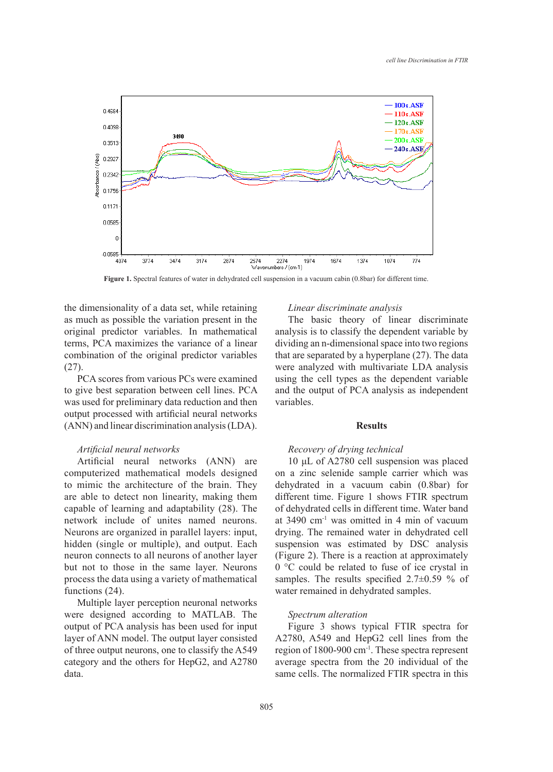

**Figure 1.** Spectral features of water in dehydrated cell suspension in a vacuum cabin (0.8bar) for different time.

the dimensionality of a data set, while retaining as much as possible the variation present in the original predictor variables. In mathematical terms, PCA maximizes the variance of a linear combination of the original predictor variables (27).

PCA scores from various PCs were examined to give best separation between cell lines. PCA was used for preliminary data reduction and then output processed with artificial neural networks (ANN) and linear discrimination analysis (LDA).

## *Artificial neural networks*

Artificial neural networks (ANN) are computerized mathematical models designed to mimic the architecture of the brain. They are able to detect non linearity, making them capable of learning and adaptability (28). The network include of unites named neurons. Neurons are organized in parallel layers: input, hidden (single or multiple), and output. Each neuron connects to all neurons of another layer but not to those in the same layer. Neurons process the data using a variety of mathematical functions (24).

Multiple layer perception neuronal networks were designed according to MATLAB. The output of PCA analysis has been used for input layer of ANN model. The output layer consisted of three output neurons, one to classify the A549 category and the others for HepG2, and A2780 data.

#### *Linear discriminate analysis*

The basic theory of linear discriminate analysis is to classify the dependent variable by dividing an n-dimensional space into two regions that are separated by a hyperplane (27). The data were analyzed with multivariate LDA analysis using the cell types as the dependent variable and the output of PCA analysis as independent variables.

## **Results**

## *Recovery of drying technical*

10 μL of A2780 cell suspension was placed on a zinc selenide sample carrier which was dehydrated in a vacuum cabin (0.8bar) for different time. Figure 1 shows FTIR spectrum of dehydrated cells in different time. Water band at 3490 cm-1 was omitted in 4 min of vacuum drying. The remained water in dehydrated cell suspension was estimated by DSC analysis (Figure 2). There is a reaction at approximately 0 °C could be related to fuse of ice crystal in samples. The results specified 2.7±0.59 % of water remained in dehydrated samples.

#### *Spectrum alteration*

Figure 3 shows typical FTIR spectra for A2780, A549 and HepG2 cell lines from the region of 1800-900 cm-1. These spectra represent average spectra from the 20 individual of the same cells. The normalized FTIR spectra in this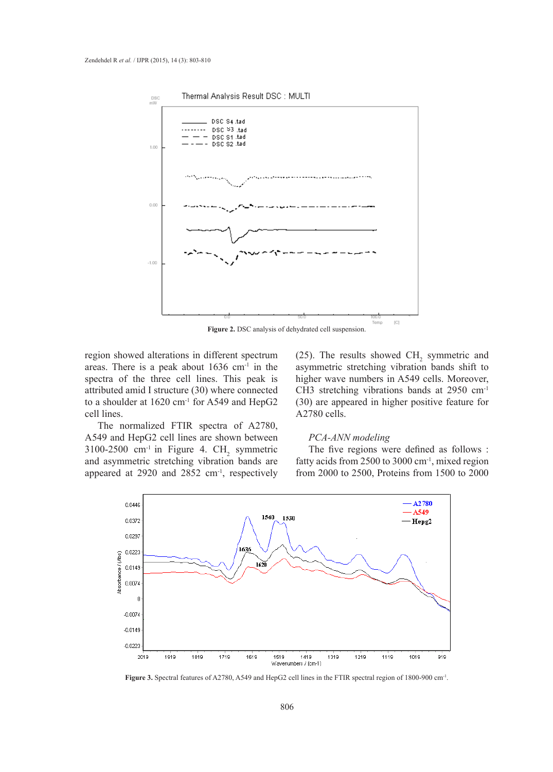

**Figure 2.** DSC analysis of dehydrated cell suspension.

region showed alterations in different spectrum areas. There is a peak about  $1636$  cm<sup>-1</sup> in the spectra of the three cell lines. This peak is attributed amid I structure (30) where connected to a shoulder at 1620 cm<sup>-1</sup> for A549 and HepG2 cell lines.

The normalized FTIR spectra of A2780, A549 and HepG2 cell lines are shown between 3100-2500 cm<sup>-1</sup> in Figure 4. CH<sub>2</sub> symmetric and asymmetric stretching vibration bands are appeared at 2920 and 2852 cm<sup>-1</sup>, respectively

(25). The results showed  $CH<sub>2</sub>$  symmetric and asymmetric stretching vibration bands shift to higher wave numbers in A549 cells. Moreover, CH3 stretching vibrations bands at 2950 cm-1 (30) are appeared in higher positive feature for A2780 cells.

## *PCA-ANN modeling*

The five regions were defined as follows : fatty acids from 2500 to 3000 cm-1, mixed region from 2000 to 2500, Proteins from 1500 to 2000



**Figure 3.** Spectral features of A2780, A549 and HepG2 cell lines in the FTIR spectral region of 1800-900 cm-1.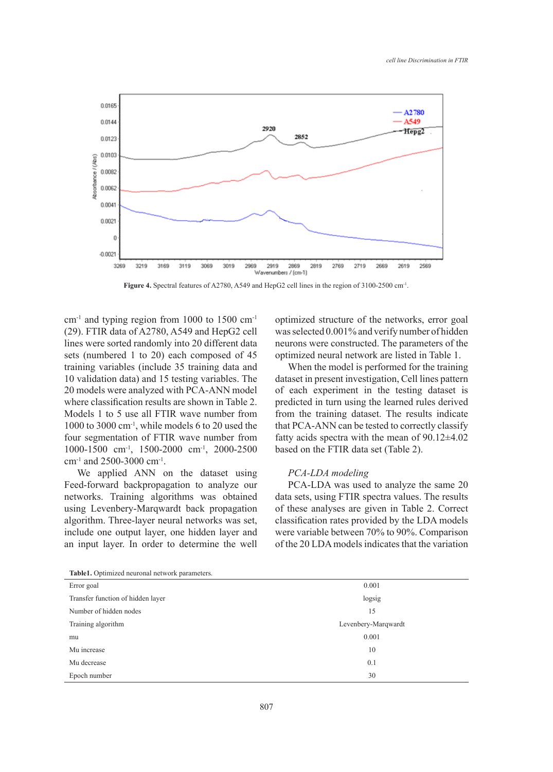

**Figure 4.** Spectral features of A2780, A549 and HepG2 cell lines in the region of 3100-2500 cm-1.

 $cm<sup>-1</sup>$  and typing region from 1000 to 1500  $cm<sup>-1</sup>$ (29). FTIR data of A2780, A549 and HepG2 cell lines were sorted randomly into 20 different data sets (numbered 1 to 20) each composed of 45 training variables (include 35 training data and 10 validation data) and 15 testing variables. The 20 models were analyzed with PCA-ANN model where classification results are shown in Table 2. Models 1 to 5 use all FTIR wave number from 1000 to 3000 cm-1, while models 6 to 20 used the four segmentation of FTIR wave number from 1000-1500 cm-1, 1500-2000 cm-1, 2000-2500 cm-1 and 2500-3000 cm-1.

We applied ANN on the dataset using Feed-forward backpropagation to analyze our networks. Training algorithms was obtained using Levenbery-Marqwardt back propagation algorithm. Three-layer neural networks was set, include one output layer, one hidden layer and an input layer. In order to determine the well optimized structure of the networks, error goal was selected 0.001% and verify number of hidden neurons were constructed. The parameters of the optimized neural network are listed in Table 1.

When the model is performed for the training dataset in present investigation, Cell lines pattern of each experiment in the testing dataset is predicted in turn using the learned rules derived from the training dataset. The results indicate that PCA-ANN can be tested to correctly classify fatty acids spectra with the mean of  $90.12\pm4.02$ based on the FTIR data set (Table 2).

## *PCA-LDA modeling*

PCA-LDA was used to analyze the same 20 data sets, using FTIR spectra values. The results of these analyses are given in Table 2. Correct classification rates provided by the LDA models were variable between 70% to 90%. Comparison of the 20 LDA models indicates that the variation

| <b>rapier.</b> Optimized neuronal network parameters. |                     |
|-------------------------------------------------------|---------------------|
| Error goal                                            | 0.001               |
| Transfer function of hidden layer                     | logsig              |
| Number of hidden nodes                                | 15                  |
| Training algorithm                                    | Levenbery-Marqwardt |
| mu                                                    | 0.001               |
| Mu increase                                           | 10                  |
| Mu decrease                                           | 0.1                 |
| Epoch number                                          | 30                  |
|                                                       |                     |

**Table1.** Optimized neuronal network parameters.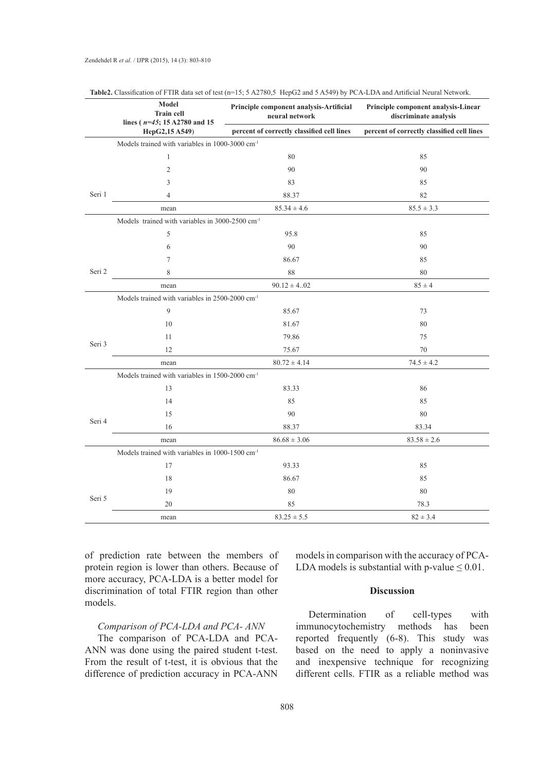|        | Model<br><b>Train cell</b><br>lines ( $n=45$ ; 15 A2780 and 15 | Principle component analysis-Artificial<br>neural network | Principle component analysis-Linear<br>discriminate analysis |  |
|--------|----------------------------------------------------------------|-----------------------------------------------------------|--------------------------------------------------------------|--|
|        | HepG2,15 A549)                                                 | percent of correctly classified cell lines                | percent of correctly classified cell lines                   |  |
|        | Models trained with variables in 1000-3000 cm <sup>-1</sup>    |                                                           |                                                              |  |
|        | $\mathbf{1}$                                                   | 80                                                        | 85                                                           |  |
| Seri 1 | $\overline{2}$                                                 | 90                                                        | 90                                                           |  |
|        | 3                                                              | 83                                                        | 85                                                           |  |
|        | $\overline{4}$                                                 | 88.37                                                     | 82                                                           |  |
|        | mean                                                           | $85.34 \pm 4.6$                                           | $85.5 \pm 3.3$                                               |  |
|        | Models trained with variables in 3000-2500 cm <sup>-1</sup>    |                                                           |                                                              |  |
|        | 5                                                              | 95.8                                                      | 85                                                           |  |
|        | 6                                                              | 90                                                        | 90                                                           |  |
| Seri 2 | $\overline{7}$                                                 | 86.67                                                     | 85                                                           |  |
|        | 8                                                              | 88                                                        | 80                                                           |  |
|        | mean                                                           | $90.12 \pm 4.02$                                          | $85 \pm 4$                                                   |  |
|        | Models trained with variables in 2500-2000 cm <sup>-1</sup>    |                                                           |                                                              |  |
|        | $\mathbf{Q}$                                                   | 85.67                                                     | 73                                                           |  |
| Seri 3 | 10                                                             | 81.67                                                     | 80                                                           |  |
|        | 11                                                             | 79.86                                                     | 75                                                           |  |
|        | 12                                                             | 75.67                                                     | 70                                                           |  |
|        | mean                                                           | $80.72 \pm 4.14$                                          | $74.5 \pm 4.2$                                               |  |
|        | Models trained with variables in 1500-2000 cm <sup>-1</sup>    |                                                           |                                                              |  |
|        | 13                                                             | 83.33                                                     | 86                                                           |  |
| Seri 4 | 14                                                             | 85                                                        | 85                                                           |  |
|        | 15                                                             | 90                                                        | 80                                                           |  |
|        | 16                                                             | 88.37                                                     | 83.34                                                        |  |
|        | mean                                                           | $86.68 \pm 3.06$                                          | $83.58 \pm 2.6$                                              |  |
|        | Models trained with variables in 1000-1500 cm <sup>-1</sup>    |                                                           |                                                              |  |
|        | 17                                                             | 93.33                                                     | 85                                                           |  |
| Seri 5 | 18                                                             | 86.67                                                     | 85                                                           |  |
|        | 19                                                             | 80                                                        | 80                                                           |  |
|        | 20                                                             | 85                                                        | 78.3                                                         |  |
|        | mean                                                           | $83.25 \pm 5.5$                                           | $82 \pm 3.4$                                                 |  |

|  | Table2. Classification of FTIR data set of test (n=15; 5 A2780,5 HepG2 and 5 A549) by PCA-LDA and Artificial Neural Network. |
|--|------------------------------------------------------------------------------------------------------------------------------|
|--|------------------------------------------------------------------------------------------------------------------------------|

of prediction rate between the members of protein region is lower than others. Because of more accuracy, PCA-LDA is a better model for discrimination of total FTIR region than other models.

# *Comparison of PCA-LDA and PCA- ANN*

The comparison of PCA-LDA and PCA-ANN was done using the paired student t-test. From the result of t-test, it is obvious that the difference of prediction accuracy in PCA-ANN

models in comparison with the accuracy of PCA-LDA models is substantial with p-value  $\leq 0.01$ .

# **Discussion**

Determination of cell-types with immunocytochemistry methods has been reported frequently (6-8). This study was based on the need to apply a noninvasive and inexpensive technique for recognizing different cells. FTIR as a reliable method was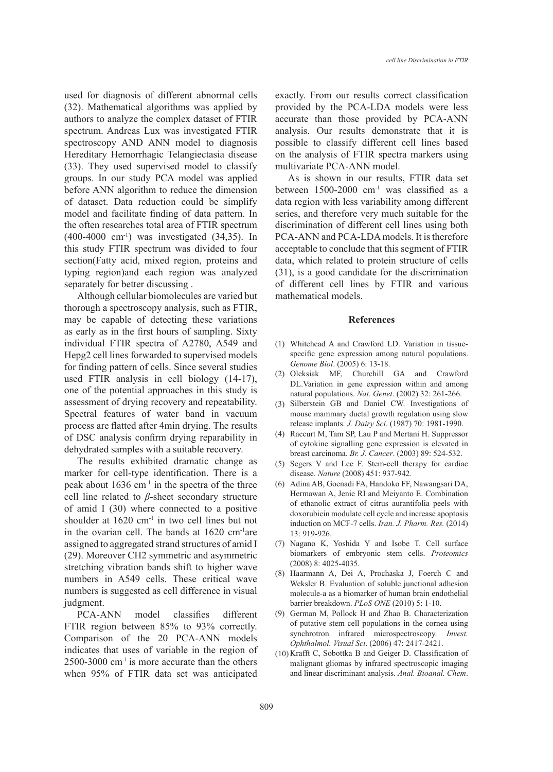used for diagnosis of different abnormal cells (32). Mathematical algorithms was applied by authors to analyze the complex dataset of FTIR spectrum. Andreas Lux was investigated FTIR spectroscopy AND ANN model to diagnosis Hereditary Hemorrhagic Telangiectasia disease (33). They used supervised model to classify groups. In our study PCA model was applied before ANN algorithm to reduce the dimension of dataset. Data reduction could be simplify model and facilitate finding of data pattern. In the often researches total area of FTIR spectrum  $(400-4000 \text{ cm}^{-1})$  was investigated  $(34,35)$ . In this study FTIR spectrum was divided to four section(Fatty acid, mixed region, proteins and typing region)and each region was analyzed separately for better discussing .

Although cellular biomolecules are varied but thorough a spectroscopy analysis, such as FTIR, may be capable of detecting these variations as early as in the first hours of sampling. Sixty individual FTIR spectra of A2780, A549 and Hepg2 cell lines forwarded to supervised models for finding pattern of cells. Since several studies used FTIR analysis in cell biology (14-17), one of the potential approaches in this study is assessment of drying recovery and repeatability. Spectral features of water band in vacuum process are flatted after 4min drying. The results of DSC analysis confirm drying reparability in dehydrated samples with a suitable recovery.

The results exhibited dramatic change as marker for cell-type identification. There is a peak about 1636 cm-1 in the spectra of the three cell line related to *β*-sheet secondary structure of amid I (30) where connected to a positive shoulder at  $1620 \text{ cm}^{-1}$  in two cell lines but not in the ovarian cell. The bands at 1620 cm-1are assigned to aggregated strand structures of amid I (29). Moreover CH2 symmetric and asymmetric stretching vibration bands shift to higher wave numbers in A549 cells. These critical wave numbers is suggested as cell difference in visual judgment.

PCA-ANN model classifies different FTIR region between 85% to 93% correctly. Comparison of the 20 PCA-ANN models indicates that uses of variable in the region of 2500-3000 cm-1 is more accurate than the others when 95% of FTIR data set was anticipated exactly. From our results correct classification provided by the PCA-LDA models were less accurate than those provided by PCA-ANN analysis. Our results demonstrate that it is possible to classify different cell lines based on the analysis of FTIR spectra markers using multivariate PCA-ANN model.

As is shown in our results, FTIR data set between  $1500-2000$  cm<sup>-1</sup> was classified as a data region with less variability among different series, and therefore very much suitable for the discrimination of different cell lines using both PCA-ANN and PCA-LDA models. It is therefore acceptable to conclude that this segment of FTIR data, which related to protein structure of cells (31), is a good candidate for the discrimination of different cell lines by FTIR and various mathematical models.

#### **References**

- Whitehead A and Crawford LD. Variation in tissue-(1) specific gene expression among natural populations. *Genome Biol*. (2005) 6: 13-18.
- (2) Oleksiak MF, Churchill GA and Crawford DL.Variation in gene expression within and among natural populations. *Nat. Genet*. (2002) 32: 261-266.
- (3) Silberstein GB and Daniel CW. Investigations of mouse mammary ductal growth regulation using slow release implants. *J. Dairy Sci*. (1987) 70: 1981-1990.
- (4) Raccurt M, Tam SP, Lau P and Mertani H. Suppressor of cytokine signalling gene expression is elevated in breast carcinoma. *Br. J. Cancer*. (2003) 89: 524-532.
- $(5)$  Segers V and Lee F. Stem-cell therapy for cardiac disease. *Nature* (2008) 451: 937-942.
- Adina AB, Goenadi FA, Handoko FF, Nawangsari DA, Hermawan A, Jenie RI and Meiyanto E. Combination of ethanolic extract of citrus aurantifolia peels with doxorubicin modulate cell cycle and increase apoptosis induction on MCF-7 cells. *Iran. J. Pharm. Res.* (2014) 13: 919-926. (6)
- (7) Nagano K, Yoshida Y and Isobe T. Cell surface biomarkers of embryonic stem cells. *Proteomics* (2008) 8: 4025-4035.
- Haarmann A, Dei A, Prochaska J, Foerch C and (8) Weksler B. Evaluation of soluble junctional adhesion molecule-a as a biomarker of human brain endothelial barrier breakdown. *PLoS ONE* (2010) 5: 1-10.
- German M, Pollock H and Zhao B. Characterization (9) of putative stem cell populations in the cornea using synchrotron infrared microspectroscopy. *Invest. Ophthalmol. Visual Sci*. (2006) 47: 2417-2421.
- $(10)$  Krafft C, Sobottka B and Geiger D. Classification of malignant gliomas by infrared spectroscopic imaging and linear discriminant analysis. *Anal. Bioanal. Chem*.